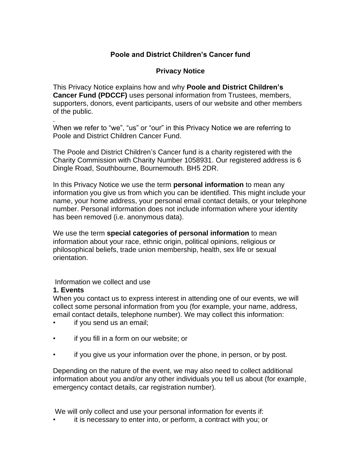# **Poole and District Children's Cancer fund**

#### **Privacy Notice**

This Privacy Notice explains how and why **Poole and District Children's Cancer Fund (PDCCF)** uses personal information from Trustees, members, supporters, donors, event participants, users of our website and other members of the public.

. When we refer to "we", "us" or "our" in this Privacy Notice we are referring to Poole and District Children Cancer Fund.

The Poole and District Children's Cancer fund is a charity registered with the Charity Commission with Charity Number 1058931. Our registered address is 6 Dingle Road, Southbourne, Bournemouth. BH5 2DR.

In this Privacy Notice we use the term **personal information** to mean any information you give us from which you can be identified. This might include your name, your home address, your personal email contact details, or your telephone number. Personal information does not include information where your identity has been removed (i.e. anonymous data).

We use the term **special categories of personal information** to mean information about your race, ethnic origin, political opinions, religious or philosophical beliefs, trade union membership, health, sex life or sexual orientation.

Information we collect and use

#### **1. Events**

When you contact us to express interest in attending one of our events, we will collect some personal information from you (for example, your name, address, email contact details, telephone number). We may collect this information:

- if you send us an email;
- if you fill in a form on our website; or
- if you give us your information over the phone, in person, or by post.

Depending on the nature of the event, we may also need to collect additional information about you and/or any other individuals you tell us about (for example, emergency contact details, car registration number).

We will only collect and use your personal information for events if:

• it is necessary to enter into, or perform, a contract with you; or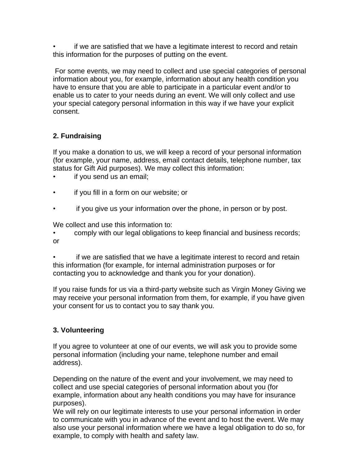• if we are satisfied that we have a legitimate interest to record and retain this information for the purposes of putting on the event.

For some events, we may need to collect and use special categories of personal information about you, for example, information about any health condition you have to ensure that you are able to participate in a particular event and/or to enable us to cater to your needs during an event. We will only collect and use your special category personal information in this way if we have your explicit consent.

# **2. Fundraising**

If you make a donation to us, we will keep a record of your personal information (for example, your name, address, email contact details, telephone number, tax status for Gift Aid purposes). We may collect this information:

- if you send us an email;
- if you fill in a form on our website; or
- if you give us your information over the phone, in person or by post.

We collect and use this information to:

• comply with our legal obligations to keep financial and business records; or

if we are satisfied that we have a legitimate interest to record and retain this information (for example, for internal administration purposes or for contacting you to acknowledge and thank you for your donation).

If you raise funds for us via a third-party website such as Virgin Money Giving we may receive your personal information from them, for example, if you have given your consent for us to contact you to say thank you.

## **3. Volunteering**

If you agree to volunteer at one of our events, we will ask you to provide some personal information (including your name, telephone number and email address).

Depending on the nature of the event and your involvement, we may need to collect and use special categories of personal information about you (for example, information about any health conditions you may have for insurance purposes).

We will rely on our legitimate interests to use your personal information in order to communicate with you in advance of the event and to host the event. We may also use your personal information where we have a legal obligation to do so, for example, to comply with health and safety law.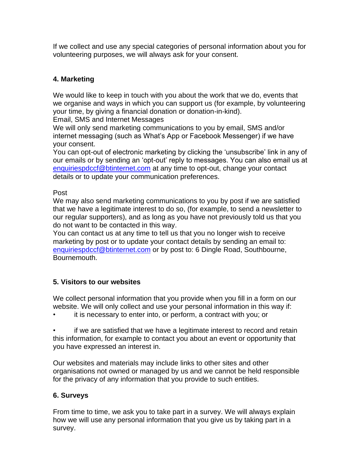If we collect and use any special categories of personal information about you for volunteering purposes, we will always ask for your consent.

# **4. Marketing**

We would like to keep in touch with you about the work that we do, events that we organise and ways in which you can support us (for example, by volunteering your time, by giving a financial donation or donation-in-kind).

Email, SMS and Internet Messages

We will only send marketing communications to you by email, SMS and/or internet messaging (such as What's App or Facebook Messenger) if we have your consent.

You can opt-out of electronic marketing by clicking the 'unsubscribe' link in any of our emails or by sending an 'opt-out' reply to messages. You can also email us at [enquiriespdccf@btinternet.com](mailto:enquiriespdccf@btinternet.com) at any time to opt-out, change your contact details or to update your communication preferences.

#### Post

We may also send marketing communications to you by post if we are satisfied that we have a legitimate interest to do so, (for example, to send a newsletter to our regular supporters), and as long as you have not previously told us that you do not want to be contacted in this way.

You can contact us at any time to tell us that you no longer wish to receive marketing by post or to update your contact details by sending an email to: [enquiriespdccf@btinternet.com](mailto:enquiriespdccf@btinternet.com) or by post to: 6 Dingle Road, Southbourne, Bournemouth.

## **5. Visitors to our websites**

We collect personal information that you provide when you fill in a form on our website. We will only collect and use your personal information in this way if:

• it is necessary to enter into, or perform, a contract with you; or

• if we are satisfied that we have a legitimate interest to record and retain this information, for example to contact you about an event or opportunity that you have expressed an interest in.

Our websites and materials may include links to other sites and other organisations not owned or managed by us and we cannot be held responsible for the privacy of any information that you provide to such entities.

## **6. Surveys**

From time to time, we ask you to take part in a survey. We will always explain how we will use any personal information that you give us by taking part in a survey.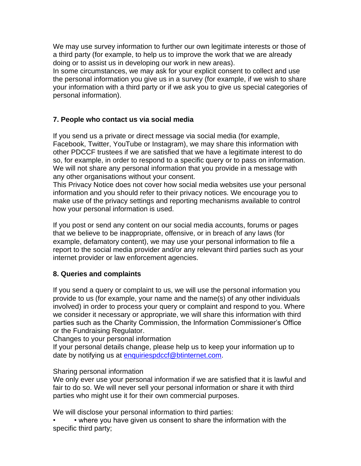We may use survey information to further our own legitimate interests or those of a third party (for example, to help us to improve the work that we are already doing or to assist us in developing our work in new areas).

In some circumstances, we may ask for your explicit consent to collect and use the personal information you give us in a survey (for example, if we wish to share your information with a third party or if we ask you to give us special categories of personal information).

## **7. People who contact us via social media**

If you send us a private or direct message via social media (for example, Facebook, Twitter, YouTube or Instagram), we may share this information with other PDCCF trustees if we are satisfied that we have a legitimate interest to do so, for example, in order to respond to a specific query or to pass on information. We will not share any personal information that you provide in a message with any other organisations without your consent.

This Privacy Notice does not cover how social media websites use your personal information and you should refer to their privacy notices. We encourage you to make use of the privacy settings and reporting mechanisms available to control how your personal information is used.

If you post or send any content on our social media accounts, forums or pages that we believe to be inappropriate, offensive, or in breach of any laws (for example, defamatory content), we may use your personal information to file a report to the social media provider and/or any relevant third parties such as your internet provider or law enforcement agencies.

#### **8. Queries and complaints**

If you send a query or complaint to us, we will use the personal information you provide to us (for example, your name and the name(s) of any other individuals involved) in order to process your query or complaint and respond to you. Where we consider it necessary or appropriate, we will share this information with third parties such as the Charity Commission, the Information Commissioner's Office or the Fundraising Regulator.

Changes to your personal information

If your personal details change, please help us to keep your information up to date by notifying us at [enquiriespdccf@btinternet.com.](mailto:enquiriespdccf@btinternet.com)

#### Sharing personal information

We only ever use your personal information if we are satisfied that it is lawful and fair to do so. We will never sell your personal information or share it with third parties who might use it for their own commercial purposes.

We will disclose your personal information to third parties:

• • where you have given us consent to share the information with the specific third party;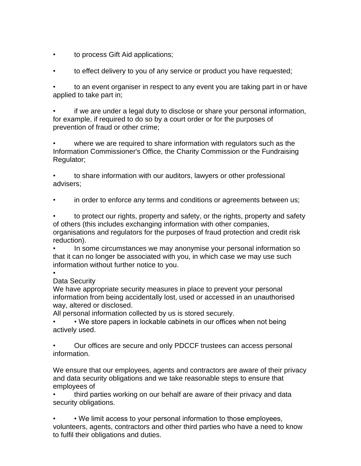- to process Gift Aid applications;
- to effect delivery to you of any service or product you have requested;

• to an event organiser in respect to any event you are taking part in or have applied to take part in;

• if we are under a legal duty to disclose or share your personal information, for example, if required to do so by a court order or for the purposes of prevention of fraud or other crime;

• where we are required to share information with regulators such as the Information Commissioner's Office, the Charity Commission or the Fundraising Regulator;

• to share information with our auditors, lawyers or other professional advisers;

• in order to enforce any terms and conditions or agreements between us;

• to protect our rights, property and safety, or the rights, property and safety of others (this includes exchanging information with other companies, organisations and regulators for the purposes of fraud protection and credit risk reduction).

• In some circumstances we may anonymise your personal information so that it can no longer be associated with you, in which case we may use such information without further notice to you.

#### • Data Security

We have appropriate security measures in place to prevent your personal information from being accidentally lost, used or accessed in an unauthorised way, altered or disclosed.

All personal information collected by us is stored securely.

• We store papers in lockable cabinets in our offices when not being actively used.

• Our offices are secure and only PDCCF trustees can access personal information.

We ensure that our employees, agents and contractors are aware of their privacy and data security obligations and we take reasonable steps to ensure that employees of

• third parties working on our behalf are aware of their privacy and data security obligations.

• • We limit access to your personal information to those employees, volunteers, agents, contractors and other third parties who have a need to know to fulfil their obligations and duties.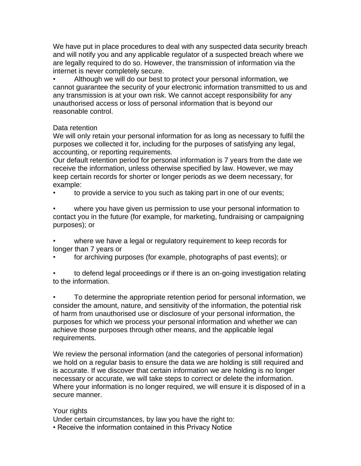We have put in place procedures to deal with any suspected data security breach and will notify you and any applicable regulator of a suspected breach where we are legally required to do so. However, the transmission of information via the internet is never completely secure.

• Although we will do our best to protect your personal information, we cannot guarantee the security of your electronic information transmitted to us and any transmission is at your own risk. We cannot accept responsibility for any unauthorised access or loss of personal information that is beyond our reasonable control.

#### Data retention

We will only retain your personal information for as long as necessary to fulfil the purposes we collected it for, including for the purposes of satisfying any legal, accounting, or reporting requirements.

Our default retention period for personal information is 7 years from the date we receive the information, unless otherwise specified by law. However, we may keep certain records for shorter or longer periods as we deem necessary, for example:

• to provide a service to you such as taking part in one of our events;

where you have given us permission to use your personal information to contact you in the future (for example, for marketing, fundraising or campaigning purposes); or

where we have a legal or regulatory requirement to keep records for longer than 7 years or

• for archiving purposes (for example, photographs of past events); or

• to defend legal proceedings or if there is an on-going investigation relating to the information.

• To determine the appropriate retention period for personal information, we consider the amount, nature, and sensitivity of the information, the potential risk of harm from unauthorised use or disclosure of your personal information, the purposes for which we process your personal information and whether we can achieve those purposes through other means, and the applicable legal requirements.

We review the personal information (and the categories of personal information) we hold on a regular basis to ensure the data we are holding is still required and is accurate. If we discover that certain information we are holding is no longer necessary or accurate, we will take steps to correct or delete the information. Where your information is no longer required, we will ensure it is disposed of in a secure manner.

## Your rights

Under certain circumstances, by law you have the right to:

• Receive the information contained in this Privacy Notice